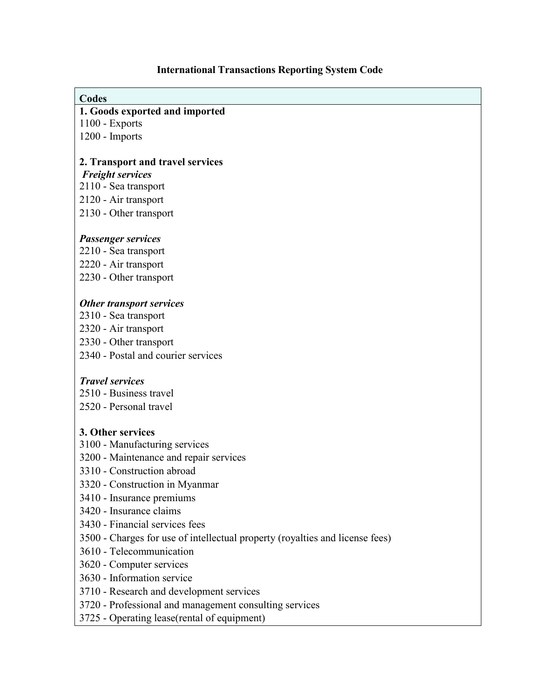### **International Transactions Reporting System Code**

#### **Codes**

#### **1. Goods exported and imported**

1100 - Exports

1200 - Imports

### **2. Transport and travel services**

*Freight services* 

- 2110 Sea transport
- 2120 Air transport
- 2130 Other transport

### *Passenger services*

2210 - Sea transport 2220 - Air transport

2230 - Other transport

### *Other transport services*

- 2310 Sea transport
- 2320 Air transport
- 2330 Other transport
- 2340 Postal and courier services

#### *Travel services*

2510 - Business travel 2520 - Personal travel

## **3. Other services**

- 3100 Manufacturing services
- 3200 Maintenance and repair services
- 3310 Construction abroad
- 3320 Construction in Myanmar
- 3410 Insurance premiums
- 3420 Insurance claims
- 3430 Financial services fees
- 3500 Charges for use of intellectual property (royalties and license fees)
- 3610 Telecommunication
- 3620 Computer services
- 3630 Information service
- 3710 Research and development services
- 3720 Professional and management consulting services
- 3725 Operating lease(rental of equipment)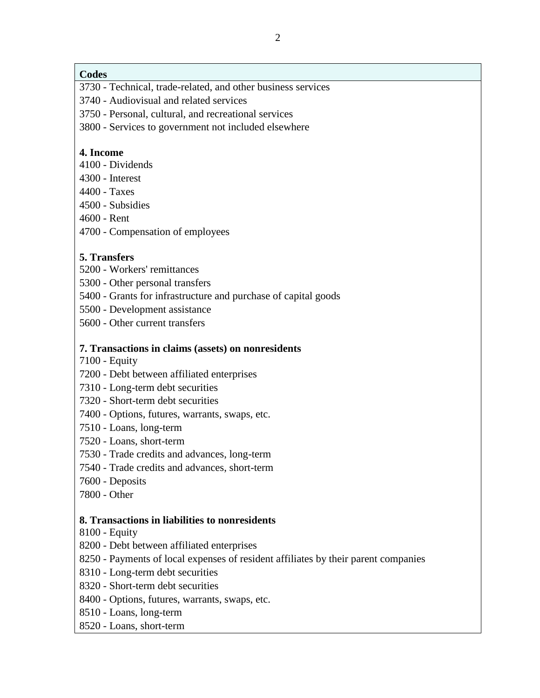### **Codes**

- 3730 Technical, trade-related, and other business services
- 3740 Audiovisual and related services
- 3750 Personal, cultural, and recreational services
- 3800 Services to government not included elsewhere

### **4. Income**

- 4100 Dividends
- 4300 Interest
- 4400 Taxes
- 4500 Subsidies
- 4600 Rent
- 4700 Compensation of employees

# **5. Transfers**

- 5200 Workers' remittances
- 5300 Other personal transfers
- 5400 Grants for infrastructure and purchase of capital goods
- 5500 Development assistance
- 5600 Other current transfers

### **7. Transactions in claims (assets) on nonresidents**

- 7100 Equity
- 7200 Debt between affiliated enterprises
- 7310 Long-term debt securities
- 7320 Short-term debt securities
- 7400 Options, futures, warrants, swaps, etc.
- 7510 Loans, long-term
- 7520 Loans, short-term
- 7530 Trade credits and advances, long-term
- 7540 Trade credits and advances, short-term
- 7600 Deposits
- 7800 Other

#### **8. Transactions in liabilities to nonresidents**

- 8100 Equity
- 8200 Debt between affiliated enterprises
- 8250 Payments of local expenses of resident affiliates by their parent companies
- 8310 Long-term debt securities
- 8320 Short-term debt securities
- 8400 Options, futures, warrants, swaps, etc.
- 8510 Loans, long-term
- 8520 Loans, short-term